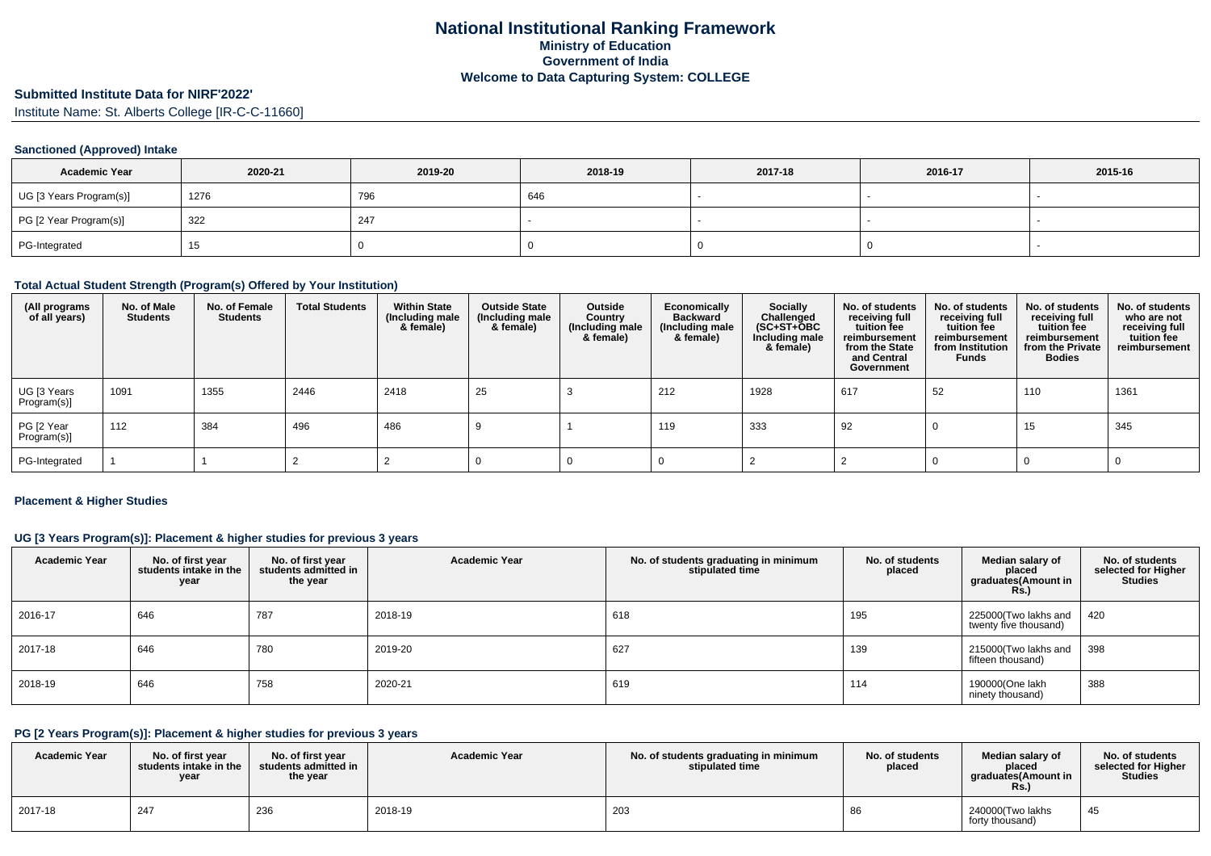# **Submitted Institute Data for NIRF'2022'**

Institute Name: St. Alberts College [IR-C-C-11660]

### **Sanctioned (Approved) Intake**

| <b>Academic Year</b>    | 2020-21 | 2019-20 | 2018-19 | 2017-18 | 2016-17 | 2015-16 |
|-------------------------|---------|---------|---------|---------|---------|---------|
| UG [3 Years Program(s)] | 1276    | 796     | 646     |         |         |         |
| PG [2 Year Program(s)]  | 322     | 247     |         |         |         |         |
| PG-Integrated           | 15.     |         |         |         |         |         |

#### **Total Actual Student Strength (Program(s) Offered by Your Institution)**

| (All programs<br>of all years) | No. of Male<br><b>Students</b> | No. of Female<br><b>Students</b> | <b>Total Students</b> | <b>Within State</b><br>(Including male<br>& female) | <b>Outside State</b><br>(Including male<br>& female) | Outside<br>Country<br>(Including male<br>& female) | Economically<br><b>Backward</b><br>(Including male<br>& female) | <b>Socially</b><br>Challenged<br>(SC+ST+ŎBC<br>Including male<br>& female) | No. of students<br>receiving full<br>tuition fee<br>reimbursement<br>from the State<br>and Central<br>Government | No. of students<br>receiving full<br>tuition fee<br>reimbursement<br>from Institution<br><b>Funds</b> | No. of students<br>receiving full<br>tuition fee<br>reimbursement<br>from the Private<br><b>Bodies</b> | No. of students<br>who are not<br>receiving full<br>tuition fee<br>reimbursement |
|--------------------------------|--------------------------------|----------------------------------|-----------------------|-----------------------------------------------------|------------------------------------------------------|----------------------------------------------------|-----------------------------------------------------------------|----------------------------------------------------------------------------|------------------------------------------------------------------------------------------------------------------|-------------------------------------------------------------------------------------------------------|--------------------------------------------------------------------------------------------------------|----------------------------------------------------------------------------------|
| UG [3 Years<br>Program(s)]     | 1091                           | 1355                             | 2446                  | 2418                                                | 25                                                   |                                                    | 212                                                             | 1928                                                                       | 617                                                                                                              | 52                                                                                                    | 110                                                                                                    | 1361                                                                             |
| PG [2 Year<br>Program(s)]      | $^{\prime}$ 112                | 384                              | 496                   | 486                                                 |                                                      |                                                    | 119                                                             | 333                                                                        | 92                                                                                                               |                                                                                                       | 15                                                                                                     | 345                                                                              |
| PG-Integrated                  |                                |                                  |                       |                                                     |                                                      |                                                    |                                                                 |                                                                            |                                                                                                                  |                                                                                                       |                                                                                                        |                                                                                  |

### **Placement & Higher Studies**

### **UG [3 Years Program(s)]: Placement & higher studies for previous 3 years**

| <b>Academic Year</b> | No. of first year<br>students intake in the<br>year | No. of first year<br>students admitted in<br>the year | <b>Academic Year</b> | No. of students graduating in minimum<br>stipulated time | No. of students<br>placed | Median salary of<br>placed<br>graduates(Amount in<br><b>Rs.)</b> | No. of students<br>selected for Higher<br><b>Studies</b> |
|----------------------|-----------------------------------------------------|-------------------------------------------------------|----------------------|----------------------------------------------------------|---------------------------|------------------------------------------------------------------|----------------------------------------------------------|
| 2016-17              | 646                                                 | 787                                                   | 2018-19              | 618                                                      | 195                       | 225000(Two lakhs and<br>twenty five thousand)                    | 420                                                      |
| 2017-18              | 646                                                 | 780                                                   | 2019-20              | 627                                                      | 139                       | 215000(Two lakhs and<br>fifteen thousand)                        | 398                                                      |
| 2018-19              | 646                                                 | 758                                                   | 2020-21              | 619                                                      | 114                       | 190000(One lakh<br>ninety thousand)                              | 388                                                      |

### **PG [2 Years Program(s)]: Placement & higher studies for previous 3 years**

| <b>Academic Year</b> | No. of first year<br>students intake in the<br>year | No. of first year<br>students admitted in<br>the year | <b>Academic Year</b> | No. of students graduating in minimum<br>stipulated time | No. of students<br>placed | Median salary of<br>placed<br>araduates(Amount in<br>Rs. | No. of students<br>selected for Higher<br><b>Studies</b> |
|----------------------|-----------------------------------------------------|-------------------------------------------------------|----------------------|----------------------------------------------------------|---------------------------|----------------------------------------------------------|----------------------------------------------------------|
| 2017-18              | 247                                                 | 236                                                   | 2018-19              | 203                                                      |                           | 240000(Two lakhs<br>forty thousand)                      | 45                                                       |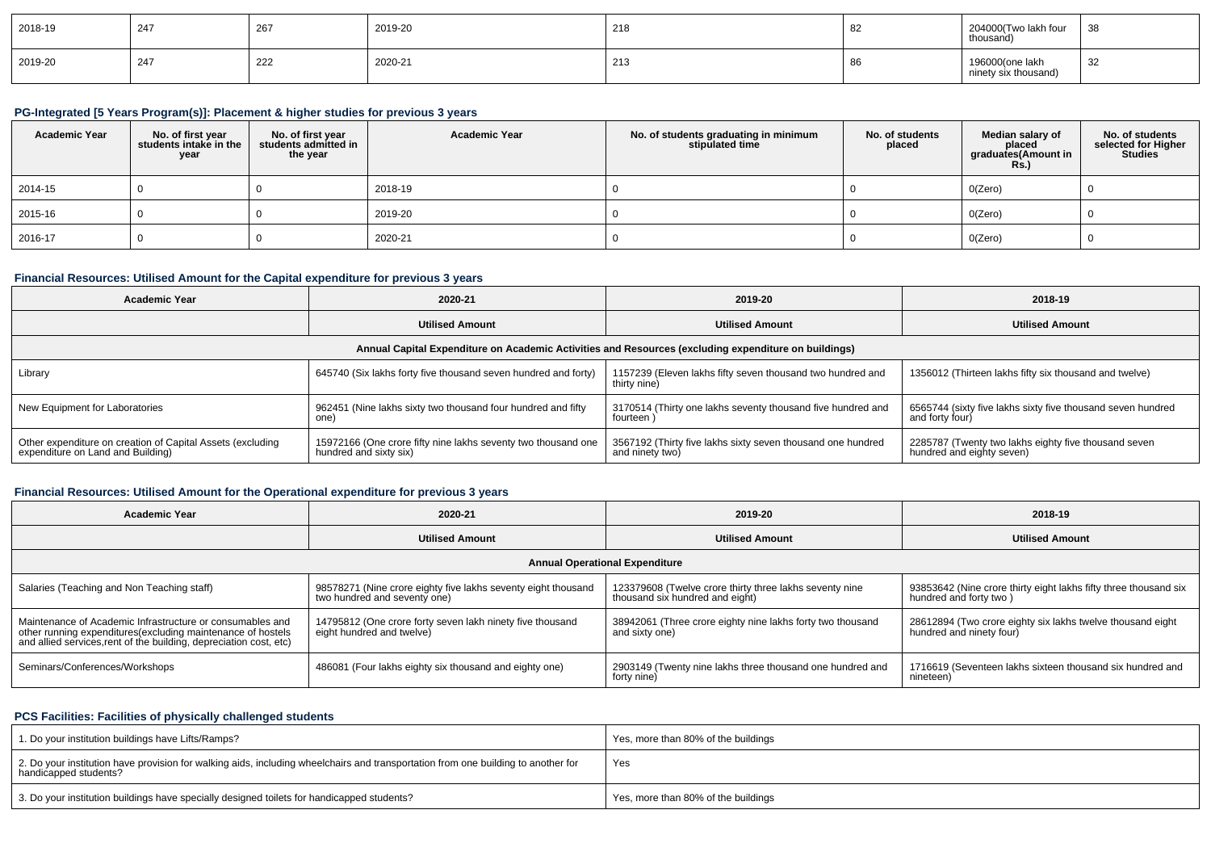| 2018-19 | 247 | $\sim$<br>-26 | 2019-20 | 218          | $\sim$<br>ັບ∠ | 204000(Two lakh four<br>thousand)       | 38 |
|---------|-----|---------------|---------|--------------|---------------|-----------------------------------------|----|
| 2019-20 | 247 | 222           | 2020-21 | つイ<br>ں ہے . | ັບບ           | 196000(one lakh<br>ninety six thousand) | 32 |

## **PG-Integrated [5 Years Program(s)]: Placement & higher studies for previous 3 years**

| <b>Academic Year</b> | No. of first year<br>students intake in the<br>year | No. of first vear<br>students admitted in<br>the year | <b>Academic Year</b> | No. of students graduating in minimum<br>stipulated time | No. of students<br>placed | Median salary of<br>placed<br>graduates(Amount in<br><b>Rs.)</b> | No. of students<br>selected for Higher<br>Studies |
|----------------------|-----------------------------------------------------|-------------------------------------------------------|----------------------|----------------------------------------------------------|---------------------------|------------------------------------------------------------------|---------------------------------------------------|
| 2014-15              |                                                     |                                                       | 2018-19              |                                                          |                           | 0(Zero)                                                          |                                                   |
| 2015-16              |                                                     |                                                       | 2019-20              |                                                          |                           | 0(Zero)                                                          |                                                   |
| 2016-17              |                                                     |                                                       | 2020-21              |                                                          |                           | 0(Zero)                                                          |                                                   |

## **Financial Resources: Utilised Amount for the Capital expenditure for previous 3 years**

| <b>Academic Year</b>                                                                            | 2020-21                                                                                 |                                                                                                      | 2018-19                                                                           |
|-------------------------------------------------------------------------------------------------|-----------------------------------------------------------------------------------------|------------------------------------------------------------------------------------------------------|-----------------------------------------------------------------------------------|
|                                                                                                 | <b>Utilised Amount</b>                                                                  | <b>Utilised Amount</b>                                                                               | <b>Utilised Amount</b>                                                            |
|                                                                                                 |                                                                                         | Annual Capital Expenditure on Academic Activities and Resources (excluding expenditure on buildings) |                                                                                   |
| Library                                                                                         | 645740 (Six lakhs forty five thousand seven hundred and forty)                          | 1157239 (Eleven lakhs fifty seven thousand two hundred and<br>thirty nine)                           | 1356012 (Thirteen lakhs fifty six thousand and twelve)                            |
| New Equipment for Laboratories                                                                  | 962451 (Nine lakhs sixty two thousand four hundred and fifty<br>one                     | 3170514 (Thirty one lakhs seventy thousand five hundred and<br>fourteen                              | 6565744 (sixty five lakhs sixty five thousand seven hundred<br>and forty four)    |
| Other expenditure on creation of Capital Assets (excluding<br>expenditure on Land and Building) | 15972166 (One crore fifty nine lakhs seventy two thousand one<br>hundred and sixty six) | 3567192 (Thirty five lakhs sixty seven thousand one hundred<br>and ninety two)                       | 2285787 (Twenty two lakhs eighty five thousand seven<br>hundred and eighty seven) |

## **Financial Resources: Utilised Amount for the Operational expenditure for previous 3 years**

| <b>Academic Year</b>                                                                                                                                                                            | 2020-21                                                                                       | 2019-20                                                                                    | 2018-19                                                                                    |  |
|-------------------------------------------------------------------------------------------------------------------------------------------------------------------------------------------------|-----------------------------------------------------------------------------------------------|--------------------------------------------------------------------------------------------|--------------------------------------------------------------------------------------------|--|
| <b>Utilised Amount</b>                                                                                                                                                                          |                                                                                               | <b>Utilised Amount</b>                                                                     | <b>Utilised Amount</b>                                                                     |  |
|                                                                                                                                                                                                 |                                                                                               | <b>Annual Operational Expenditure</b>                                                      |                                                                                            |  |
| Salaries (Teaching and Non Teaching staff)                                                                                                                                                      | 98578271 (Nine crore eighty five lakhs seventy eight thousand<br>two hundred and seventy one) | 123379608 (Twelve crore thirty three lakhs seventy nine<br>thousand six hundred and eight) | 93853642 (Nine crore thirty eight lakhs fifty three thousand six<br>hundred and forty two) |  |
| Maintenance of Academic Infrastructure or consumables and<br>other running expenditures (excluding maintenance of hostels<br>and allied services, rent of the building, depreciation cost, etc) | 14795812 (One crore forty seven lakh ninety five thousand<br>eight hundred and twelve)        | 38942061 (Three crore eighty nine lakhs forty two thousand<br>and sixty one)               | 28612894 (Two crore eighty six lakhs twelve thousand eight<br>hundred and ninety four)     |  |
| Seminars/Conferences/Workshops                                                                                                                                                                  | 486081 (Four lakhs eighty six thousand and eighty one)                                        | 2903149 (Twenty nine lakhs three thousand one hundred and<br>forty nine)                   | 1716619 (Seventeen lakhs sixteen thousand six hundred and<br>nineteen)                     |  |

### **PCS Facilities: Facilities of physically challenged students**

| 1. Do your institution buildings have Lifts/Ramps?                                                                                                         | Yes, more than 80% of the buildings |
|------------------------------------------------------------------------------------------------------------------------------------------------------------|-------------------------------------|
| 2. Do your institution have provision for walking aids, including wheelchairs and transportation from one building to another for<br>handicapped students? | Yes                                 |
| 3. Do your institution buildings have specially designed toilets for handicapped students?                                                                 | Yes, more than 80% of the buildings |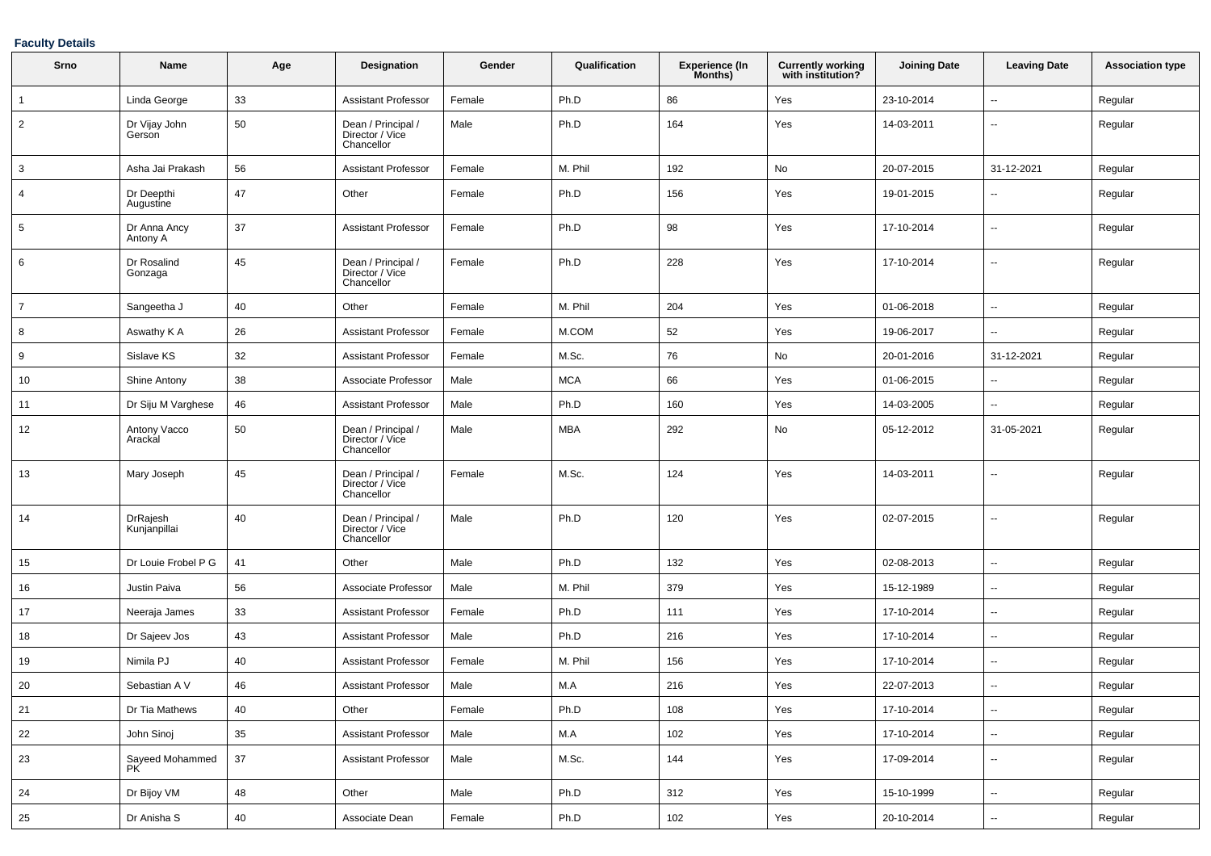### **Faculty Details**

| Srno           | Name                     | Age    | Designation                                         | Gender | Qualification | <b>Experience (In</b><br>Months) | <b>Currently working</b><br>with institution? | <b>Joining Date</b> | <b>Leaving Date</b>      | <b>Association type</b> |
|----------------|--------------------------|--------|-----------------------------------------------------|--------|---------------|----------------------------------|-----------------------------------------------|---------------------|--------------------------|-------------------------|
| $\mathbf{1}$   | Linda George             | 33     | Assistant Professor                                 | Female | Ph.D          | 86                               | Yes                                           | 23-10-2014          | $\sim$                   | Regular                 |
| $\overline{2}$ | Dr Vijay John<br>Gerson  | 50     | Dean / Principal /<br>Director / Vice<br>Chancellor | Male   | Ph.D          | 164                              | Yes                                           | 14-03-2011          | $\overline{\phantom{a}}$ | Regular                 |
| 3              | Asha Jai Prakash         | 56     | Assistant Professor                                 | Female | M. Phil       | 192                              | No                                            | 20-07-2015          | 31-12-2021               | Regular                 |
| 4              | Dr Deepthi<br>Augustine  | 47     | Other                                               | Female | Ph.D          | 156                              | Yes                                           | 19-01-2015          | $\overline{\phantom{a}}$ | Regular                 |
| 5              | Dr Anna Ancy<br>Antony A | 37     | Assistant Professor                                 | Female | Ph.D          | 98                               | Yes                                           | 17-10-2014          | $\overline{\phantom{a}}$ | Regular                 |
| 6              | Dr Rosalind<br>Gonzaga   | 45     | Dean / Principal /<br>Director / Vice<br>Chancellor | Female | Ph.D          | 228                              | Yes                                           | 17-10-2014          | $\overline{\phantom{a}}$ | Regular                 |
| $\overline{7}$ | Sangeetha J              | 40     | Other                                               | Female | M. Phil       | 204                              | Yes                                           | 01-06-2018          | $\sim$                   | Regular                 |
| 8              | Aswathy K A              | 26     | Assistant Professor                                 | Female | M.COM         | 52                               | Yes                                           | 19-06-2017          | $\overline{\phantom{a}}$ | Regular                 |
| 9              | Sislave KS               | 32     | Assistant Professor                                 | Female | M.Sc.         | 76                               | No                                            | 20-01-2016          | 31-12-2021               | Regular                 |
| 10             | Shine Antony             | 38     | Associate Professor                                 | Male   | <b>MCA</b>    | 66                               | Yes                                           | 01-06-2015          | $\sim$                   | Regular                 |
| 11             | Dr Siju M Varghese       | 46     | <b>Assistant Professor</b>                          | Male   | Ph.D          | 160                              | Yes                                           | 14-03-2005          | --                       | Regular                 |
| 12             | Antony Vacco<br>Arackal  | 50     | Dean / Principal /<br>Director / Vice<br>Chancellor | Male   | <b>MBA</b>    | 292                              | No                                            | 05-12-2012          | 31-05-2021               | Regular                 |
| 13             | Mary Joseph              | 45     | Dean / Principal /<br>Director / Vice<br>Chancellor | Female | M.Sc.         | 124                              | Yes                                           | 14-03-2011          | $\overline{\phantom{a}}$ | Regular                 |
| 14             | DrRajesh<br>Kunjanpillai | 40     | Dean / Principal /<br>Director / Vice<br>Chancellor | Male   | Ph.D          | 120                              | Yes                                           | 02-07-2015          | $\sim$                   | Regular                 |
| 15             | Dr Louie Frobel P G      | 41     | Other                                               | Male   | Ph.D          | 132                              | Yes                                           | 02-08-2013          | $\overline{\phantom{a}}$ | Regular                 |
| 16             | Justin Paiva             | 56     | Associate Professor                                 | Male   | M. Phil       | 379                              | Yes                                           | 15-12-1989          | $\overline{\phantom{a}}$ | Regular                 |
| 17             | Neeraja James            | 33     | <b>Assistant Professor</b>                          | Female | Ph.D          | 111                              | Yes                                           | 17-10-2014          | $\overline{\phantom{a}}$ | Regular                 |
| 18             | Dr Sajeev Jos            | 43     | <b>Assistant Professor</b>                          | Male   | Ph.D          | 216                              | Yes                                           | 17-10-2014          | $\overline{\phantom{a}}$ | Regular                 |
| 19             | Nimila PJ                | 40     | <b>Assistant Professor</b>                          | Female | M. Phil       | 156                              | Yes                                           | 17-10-2014          | $\sim$                   | Regular                 |
| 20             | Sebastian A V            | 46     | <b>Assistant Professor</b>                          | Male   | M.A           | 216                              | Yes                                           | 22-07-2013          |                          | Regular                 |
| 21             | Dr Tia Mathews           | 40     | Other                                               | Female | Ph.D          | 108                              | Yes                                           | 17-10-2014          | $\overline{\phantom{a}}$ | Regular                 |
| 22             | John Sinoj               | 35     | <b>Assistant Professor</b>                          | Male   | M.A           | 102                              | Yes                                           | 17-10-2014          | $\sim$                   | Regular                 |
| 23             | Sayeed Mohammed<br>PK    | 37     | <b>Assistant Professor</b>                          | Male   | M.Sc.         | 144                              | Yes                                           | 17-09-2014          | $\sim$                   | Regular                 |
| 24             | Dr Bijoy VM              | 48     | Other                                               | Male   | Ph.D          | 312                              | Yes                                           | 15-10-1999          | $\overline{\phantom{a}}$ | Regular                 |
| 25             | Dr Anisha S              | $40\,$ | Associate Dean                                      | Female | Ph.D          | $102\,$                          | Yes                                           | 20-10-2014          | $\overline{\phantom{a}}$ | Regular                 |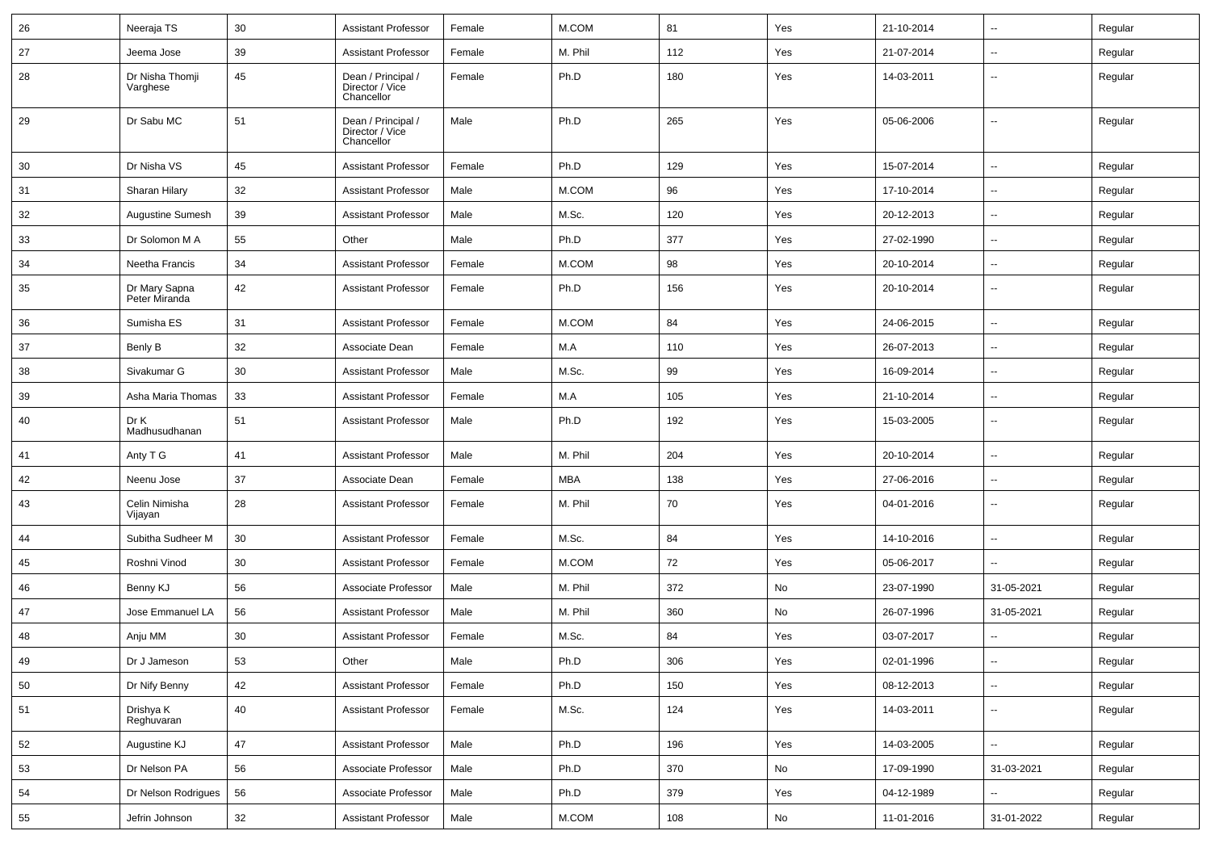| 26 | Neeraja TS                     | 30     | <b>Assistant Professor</b>                          | Female | M.COM      | 81  | Yes | 21-10-2014 | $\overline{\phantom{a}}$ | Regular |
|----|--------------------------------|--------|-----------------------------------------------------|--------|------------|-----|-----|------------|--------------------------|---------|
| 27 | Jeema Jose                     | 39     | <b>Assistant Professor</b>                          | Female | M. Phil    | 112 | Yes | 21-07-2014 | $\overline{\phantom{a}}$ | Regular |
| 28 | Dr Nisha Thomji<br>Varghese    | 45     | Dean / Principal /<br>Director / Vice<br>Chancellor | Female | Ph.D       | 180 | Yes | 14-03-2011 | $\overline{\phantom{a}}$ | Regular |
| 29 | Dr Sabu MC                     | 51     | Dean / Principal /<br>Director / Vice<br>Chancellor | Male   | Ph.D       | 265 | Yes | 05-06-2006 | $\overline{\phantom{a}}$ | Regular |
| 30 | Dr Nisha VS                    | 45     | <b>Assistant Professor</b>                          | Female | Ph.D       | 129 | Yes | 15-07-2014 | Щ,                       | Regular |
| 31 | Sharan Hilary                  | 32     | <b>Assistant Professor</b>                          | Male   | M.COM      | 96  | Yes | 17-10-2014 | --                       | Regular |
| 32 | <b>Augustine Sumesh</b>        | 39     | <b>Assistant Professor</b>                          | Male   | M.Sc.      | 120 | Yes | 20-12-2013 | $\overline{\phantom{a}}$ | Regular |
| 33 | Dr Solomon M A                 | 55     | Other                                               | Male   | Ph.D       | 377 | Yes | 27-02-1990 | $\overline{\phantom{a}}$ | Regular |
| 34 | Neetha Francis                 | 34     | <b>Assistant Professor</b>                          | Female | M.COM      | 98  | Yes | 20-10-2014 | $\overline{\phantom{a}}$ | Regular |
| 35 | Dr Mary Sapna<br>Peter Miranda | 42     | <b>Assistant Professor</b>                          | Female | Ph.D       | 156 | Yes | 20-10-2014 | $\overline{\phantom{a}}$ | Regular |
| 36 | Sumisha ES                     | 31     | <b>Assistant Professor</b>                          | Female | M.COM      | 84  | Yes | 24-06-2015 | Щ,                       | Regular |
| 37 | Benly B                        | 32     | Associate Dean                                      | Female | M.A        | 110 | Yes | 26-07-2013 | Щ,                       | Regular |
| 38 | Sivakumar G                    | 30     | <b>Assistant Professor</b>                          | Male   | M.Sc.      | 99  | Yes | 16-09-2014 | $\overline{\phantom{a}}$ | Regular |
| 39 | Asha Maria Thomas              | 33     | <b>Assistant Professor</b>                          | Female | M.A        | 105 | Yes | 21-10-2014 | $\overline{\phantom{a}}$ | Regular |
| 40 | Dr K<br>Madhusudhanan          | 51     | <b>Assistant Professor</b>                          | Male   | Ph.D       | 192 | Yes | 15-03-2005 | $\overline{\phantom{a}}$ | Regular |
| 41 | Anty T G                       | 41     | <b>Assistant Professor</b>                          | Male   | M. Phil    | 204 | Yes | 20-10-2014 | Щ,                       | Regular |
| 42 | Neenu Jose                     | 37     | Associate Dean                                      | Female | <b>MBA</b> | 138 | Yes | 27-06-2016 | $\overline{\phantom{a}}$ | Regular |
| 43 | Celin Nimisha<br>Vijayan       | 28     | <b>Assistant Professor</b>                          | Female | M. Phil    | 70  | Yes | 04-01-2016 | $\overline{\phantom{a}}$ | Regular |
| 44 | Subitha Sudheer M              | 30     | <b>Assistant Professor</b>                          | Female | M.Sc.      | 84  | Yes | 14-10-2016 | Ξ.                       | Regular |
| 45 | Roshni Vinod                   | 30     | <b>Assistant Professor</b>                          | Female | M.COM      | 72  | Yes | 05-06-2017 | $\overline{\phantom{a}}$ | Regular |
| 46 | Benny KJ                       | 56     | Associate Professor                                 | Male   | M. Phil    | 372 | No  | 23-07-1990 | 31-05-2021               | Regular |
| 47 | Jose Emmanuel LA               | 56     | <b>Assistant Professor</b>                          | Male   | M. Phil    | 360 | No  | 26-07-1996 | 31-05-2021               | Regular |
| 48 | Anju MM                        | 30     | <b>Assistant Professor</b>                          | Female | M.Sc.      | 84  | Yes | 03-07-2017 | $\overline{\phantom{a}}$ | Regular |
| 49 | Dr J Jameson                   | 53     | Other                                               | Male   | Ph.D       | 306 | Yes | 02-01-1996 |                          | Regular |
| 50 | Dr Nify Benny                  | 42     | <b>Assistant Professor</b>                          | Female | Ph.D       | 150 | Yes | 08-12-2013 | $\overline{\phantom{a}}$ | Regular |
| 51 | Drishya K<br>Reghuvaran        | 40     | <b>Assistant Professor</b>                          | Female | M.Sc.      | 124 | Yes | 14-03-2011 | $\overline{\phantom{a}}$ | Regular |
| 52 | Augustine KJ                   | 47     | <b>Assistant Professor</b>                          | Male   | Ph.D       | 196 | Yes | 14-03-2005 | $\overline{\phantom{a}}$ | Regular |
| 53 | Dr Nelson PA                   | 56     | Associate Professor                                 | Male   | Ph.D       | 370 | No  | 17-09-1990 | 31-03-2021               | Regular |
| 54 | Dr Nelson Rodrigues            | 56     | Associate Professor                                 | Male   | Ph.D       | 379 | Yes | 04-12-1989 | ₩,                       | Regular |
| 55 | Jefrin Johnson                 | $32\,$ | <b>Assistant Professor</b>                          | Male   | M.COM      | 108 | No  | 11-01-2016 | 31-01-2022               | Regular |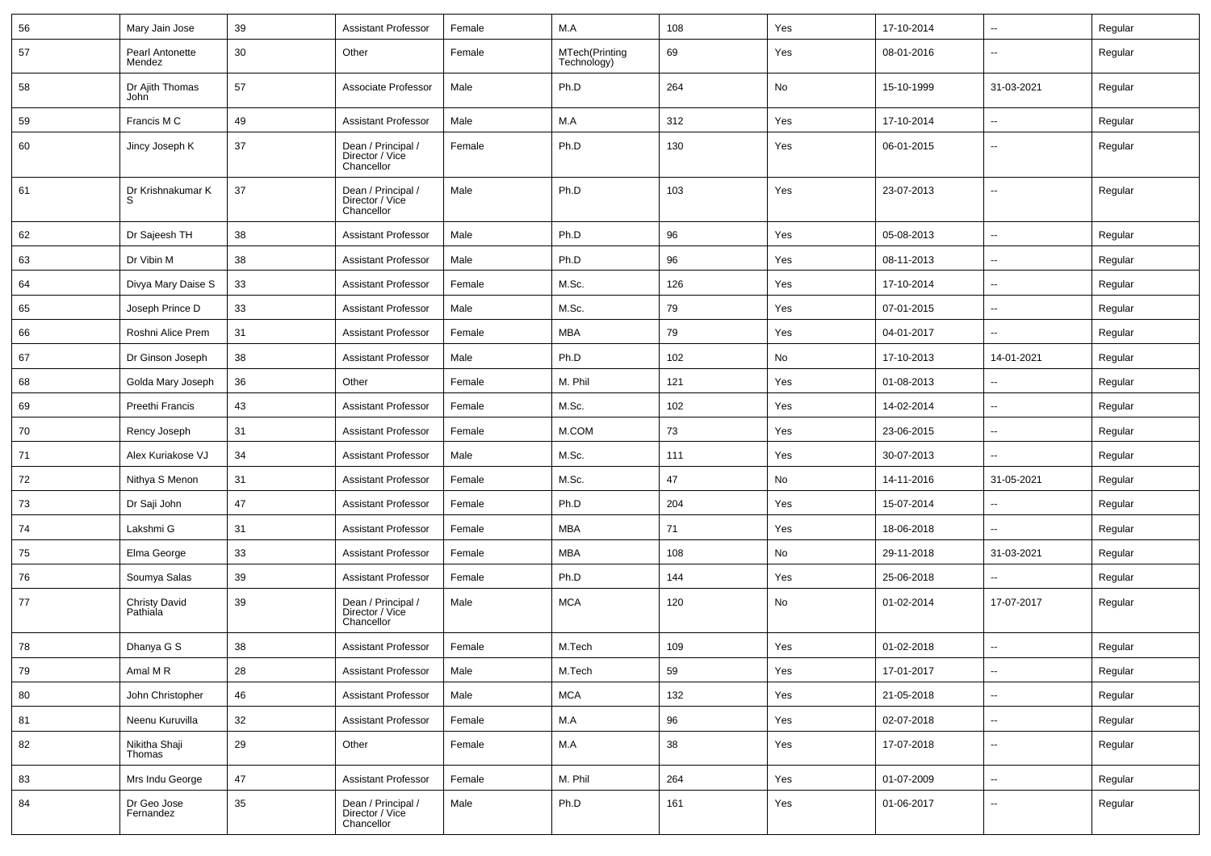| 56 | Mary Jain Jose                   | 39 | <b>Assistant Professor</b>                          | Female | M.A                           | 108 | Yes | 17-10-2014 | $\overline{\phantom{a}}$ | Regular |
|----|----------------------------------|----|-----------------------------------------------------|--------|-------------------------------|-----|-----|------------|--------------------------|---------|
| 57 | Pearl Antonette<br>Mendez        | 30 | Other                                               | Female | MTech(Printing<br>Technology) | 69  | Yes | 08-01-2016 | --                       | Regular |
| 58 | Dr Ajith Thomas<br>John          | 57 | Associate Professor                                 | Male   | Ph.D                          | 264 | No  | 15-10-1999 | 31-03-2021               | Regular |
| 59 | Francis M C                      | 49 | <b>Assistant Professor</b>                          | Male   | M.A                           | 312 | Yes | 17-10-2014 | --                       | Regular |
| 60 | Jincy Joseph K                   | 37 | Dean / Principal /<br>Director / Vice<br>Chancellor | Female | Ph.D                          | 130 | Yes | 06-01-2015 | --                       | Regular |
| 61 | Dr Krishnakumar K<br>S           | 37 | Dean / Principal /<br>Director / Vice<br>Chancellor | Male   | Ph.D                          | 103 | Yes | 23-07-2013 | --                       | Regular |
| 62 | Dr Sajeesh TH                    | 38 | <b>Assistant Professor</b>                          | Male   | Ph.D                          | 96  | Yes | 05-08-2013 | ⊷.                       | Regular |
| 63 | Dr Vibin M                       | 38 | <b>Assistant Professor</b>                          | Male   | Ph.D                          | 96  | Yes | 08-11-2013 | -−                       | Regular |
| 64 | Divya Mary Daise S               | 33 | <b>Assistant Professor</b>                          | Female | M.Sc.                         | 126 | Yes | 17-10-2014 | -−                       | Regular |
| 65 | Joseph Prince D                  | 33 | <b>Assistant Professor</b>                          | Male   | M.Sc.                         | 79  | Yes | 07-01-2015 | --                       | Regular |
| 66 | Roshni Alice Prem                | 31 | <b>Assistant Professor</b>                          | Female | MBA                           | 79  | Yes | 04-01-2017 | --                       | Regular |
| 67 | Dr Ginson Joseph                 | 38 | <b>Assistant Professor</b>                          | Male   | Ph.D                          | 102 | No  | 17-10-2013 | 14-01-2021               | Regular |
| 68 | Golda Mary Joseph                | 36 | Other                                               | Female | M. Phil                       | 121 | Yes | 01-08-2013 | $\overline{\phantom{a}}$ | Regular |
| 69 | Preethi Francis                  | 43 | <b>Assistant Professor</b>                          | Female | M.Sc.                         | 102 | Yes | 14-02-2014 | -−                       | Regular |
| 70 | Rency Joseph                     | 31 | <b>Assistant Professor</b>                          | Female | M.COM                         | 73  | Yes | 23-06-2015 | ⊷.                       | Regular |
| 71 | Alex Kuriakose VJ                | 34 | <b>Assistant Professor</b>                          | Male   | M.Sc.                         | 111 | Yes | 30-07-2013 | --                       | Regular |
| 72 | Nithya S Menon                   | 31 | <b>Assistant Professor</b>                          | Female | M.Sc.                         | 47  | No  | 14-11-2016 | 31-05-2021               | Regular |
| 73 | Dr Saji John                     | 47 | <b>Assistant Professor</b>                          | Female | Ph.D                          | 204 | Yes | 15-07-2014 | -−                       | Regular |
| 74 | Lakshmi G                        | 31 | Assistant Professor                                 | Female | MBA                           | 71  | Yes | 18-06-2018 | $\overline{\phantom{a}}$ | Regular |
| 75 | Elma George                      | 33 | <b>Assistant Professor</b>                          | Female | MBA                           | 108 | No  | 29-11-2018 | 31-03-2021               | Regular |
| 76 | Soumya Salas                     | 39 | <b>Assistant Professor</b>                          | Female | Ph.D                          | 144 | Yes | 25-06-2018 | --                       | Regular |
| 77 | <b>Christy David</b><br>Pathiala | 39 | Dean / Principal /<br>Director / Vice<br>Chancellor | Male   | MCA                           | 120 | No  | 01-02-2014 | 17-07-2017               | Regular |
| 78 | Dhanya G S                       | 38 | <b>Assistant Professor</b>                          | Female | M.Tech                        | 109 | Yes | 01-02-2018 | --                       | Regular |
| 79 | Amal MR                          | 28 | <b>Assistant Professor</b>                          | Male   | M.Tech                        | 59  | Yes | 17-01-2017 | Щ,                       | Regular |
| 80 | John Christopher                 | 46 | <b>Assistant Professor</b>                          | Male   | <b>MCA</b>                    | 132 | Yes | 21-05-2018 | Ξ.                       | Regular |
| 81 | Neenu Kuruvilla                  | 32 | <b>Assistant Professor</b>                          | Female | M.A                           | 96  | Yes | 02-07-2018 | $\sim$                   | Regular |
| 82 | Nikitha Shaji<br>Thomas          | 29 | Other                                               | Female | M.A                           | 38  | Yes | 17-07-2018 | $\overline{\phantom{a}}$ | Regular |
| 83 | Mrs Indu George                  | 47 | <b>Assistant Professor</b>                          | Female | M. Phil                       | 264 | Yes | 01-07-2009 | Щ,                       | Regular |
| 84 | Dr Geo Jose<br>Fernandez         | 35 | Dean / Principal /<br>Director / Vice<br>Chancellor | Male   | Ph.D                          | 161 | Yes | 01-06-2017 | $\overline{\phantom{a}}$ | Regular |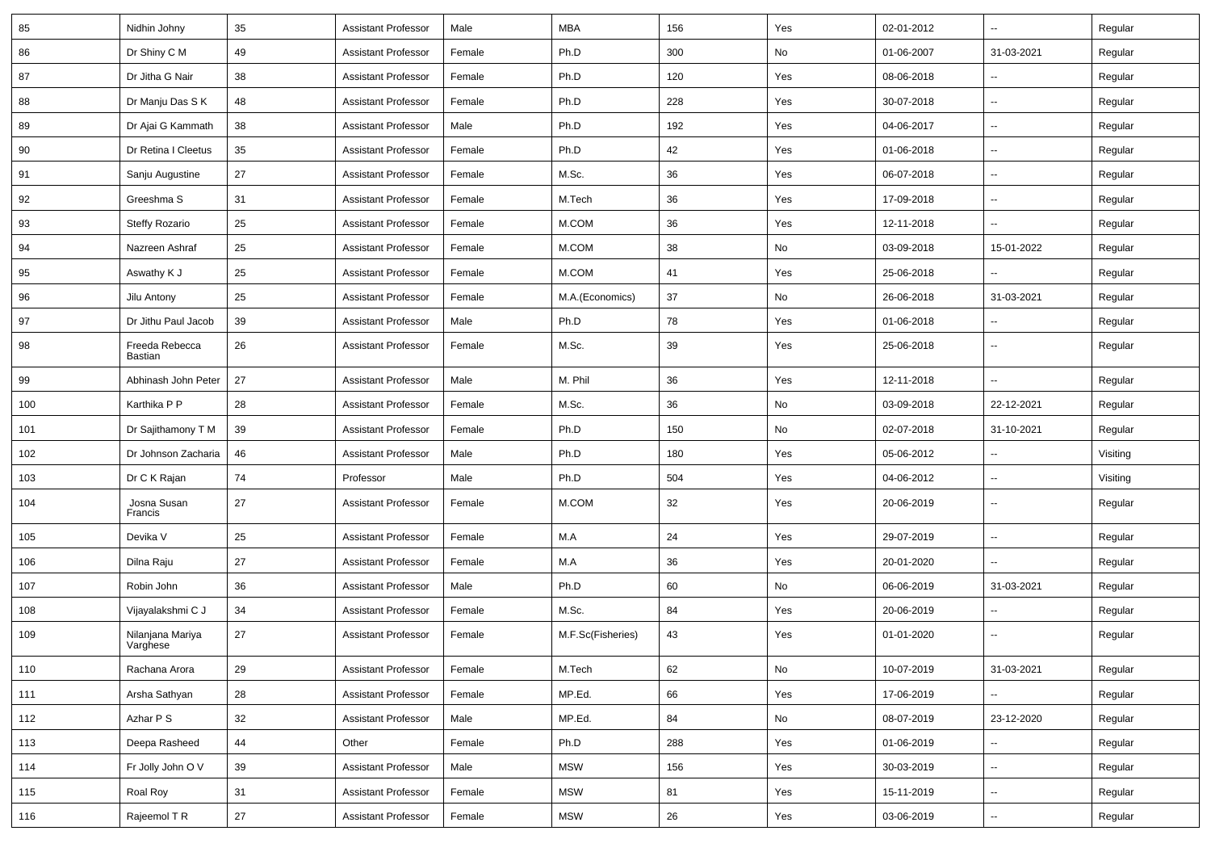| 85    | Nidhin Johny                 | 35 | <b>Assistant Professor</b> | Male   | <b>MBA</b>        | 156 | Yes                          | 02-01-2012 | $\overline{\phantom{a}}$ | Regular  |
|-------|------------------------------|----|----------------------------|--------|-------------------|-----|------------------------------|------------|--------------------------|----------|
| 86    | Dr Shiny C M                 | 49 | <b>Assistant Professor</b> | Female | Ph.D              | 300 | No                           | 01-06-2007 | 31-03-2021               | Regular  |
| 87    | Dr Jitha G Nair              | 38 | <b>Assistant Professor</b> | Female | Ph.D              | 120 | Yes                          | 08-06-2018 | --                       | Regular  |
| 88    | Dr Manju Das S K             | 48 | <b>Assistant Professor</b> | Female | Ph.D              | 228 | Yes                          | 30-07-2018 | --                       | Regular  |
| 89    | Dr Ajai G Kammath            | 38 | <b>Assistant Professor</b> | Male   | Ph.D              | 192 | Yes                          | 04-06-2017 | $\overline{a}$           | Regular  |
| 90    | Dr Retina I Cleetus          | 35 | <b>Assistant Professor</b> | Female | Ph.D              | 42  | Yes                          | 01-06-2018 | --                       | Regular  |
| 91    | Sanju Augustine              | 27 | <b>Assistant Professor</b> | Female | M.Sc.             | 36  | Yes                          | 06-07-2018 | $\overline{\phantom{a}}$ | Regular  |
| 92    | Greeshma S                   | 31 | <b>Assistant Professor</b> | Female | M.Tech            | 36  | Yes                          | 17-09-2018 | ⊷.                       | Regular  |
| 93    | <b>Steffy Rozario</b>        | 25 | <b>Assistant Professor</b> | Female | M.COM             | 36  | Yes                          | 12-11-2018 | ۵.                       | Regular  |
| 94    | Nazreen Ashraf               | 25 | <b>Assistant Professor</b> | Female | M.COM             | 38  | No                           | 03-09-2018 | 15-01-2022               | Regular  |
| 95    | Aswathy K J                  | 25 | <b>Assistant Professor</b> | Female | M.COM             | 41  | Yes                          | 25-06-2018 |                          | Regular  |
| 96    | Jilu Antony                  | 25 | <b>Assistant Professor</b> | Female | M.A.(Economics)   | 37  | No                           | 26-06-2018 | 31-03-2021               | Regular  |
| 97    | Dr Jithu Paul Jacob          | 39 | <b>Assistant Professor</b> | Male   | Ph.D              | 78  | Yes                          | 01-06-2018 | $\overline{\phantom{a}}$ | Regular  |
| 98    | Freeda Rebecca<br>Bastian    | 26 | <b>Assistant Professor</b> | Female | M.Sc.             | 39  | Yes                          | 25-06-2018 | $\overline{\phantom{a}}$ | Regular  |
| 99    | Abhinash John Peter          | 27 | <b>Assistant Professor</b> | Male   | M. Phil           | 36  | Yes                          | 12-11-2018 | -−                       | Regular  |
| 100   | Karthika P P                 | 28 | <b>Assistant Professor</b> | Female | M.Sc.             | 36  | No                           | 03-09-2018 | 22-12-2021               | Regular  |
| 101   | Dr Sajithamony T M           | 39 | <b>Assistant Professor</b> | Female | Ph.D              | 150 | No                           | 02-07-2018 | 31-10-2021               | Regular  |
| 102   | Dr Johnson Zacharia          | 46 | <b>Assistant Professor</b> | Male   | Ph.D              | 180 | Yes                          | 05-06-2012 |                          | Visiting |
| 103   | Dr C K Rajan                 | 74 | Professor                  | Male   | Ph.D              | 504 | Yes                          | 04-06-2012 | --                       | Visiting |
| 104   | Josna Susan<br>Francis       | 27 | <b>Assistant Professor</b> | Female | M.COM             | 32  | Yes                          | 20-06-2019 | $\overline{\phantom{a}}$ | Regular  |
| 105   | Devika V                     | 25 | <b>Assistant Professor</b> | Female | M.A               | 24  | Yes                          | 29-07-2019 | Ξ.                       | Regular  |
| 106   | Dilna Raju                   | 27 | <b>Assistant Professor</b> | Female | M.A               | 36  | Yes                          | 20-01-2020 | --                       | Regular  |
| 107   | Robin John                   | 36 | <b>Assistant Professor</b> | Male   | Ph.D              | 60  | No                           | 06-06-2019 | 31-03-2021               | Regular  |
| 108   | Vijayalakshmi C J            | 34 | <b>Assistant Professor</b> | Female | M.Sc.             | 84  | Yes                          | 20-06-2019 |                          | Regular  |
| 109   | Nilanjana Mariya<br>Varghese | 27 | <b>Assistant Professor</b> | Female | M.F.Sc(Fisheries) | 43  | Yes                          | 01-01-2020 | --                       | Regular  |
| $110$ | Rachana Arora                | 29 | <b>Assistant Professor</b> | Female | M.Tech            | 62  | $\operatorname{\mathsf{No}}$ | 10-07-2019 | 31-03-2021               | Regular  |
| 111   | Arsha Sathyan                | 28 | <b>Assistant Professor</b> | Female | MP.Ed.            | 66  | Yes                          | 17-06-2019 |                          | Regular  |
| 112   | Azhar P S                    | 32 | <b>Assistant Professor</b> | Male   | MP.Ed.            | 84  | No                           | 08-07-2019 | 23-12-2020               | Regular  |
| 113   | Deepa Rasheed                | 44 | Other                      | Female | Ph.D              | 288 | Yes                          | 01-06-2019 | $\sim$                   | Regular  |
| 114   | Fr Jolly John O V            | 39 | <b>Assistant Professor</b> | Male   | <b>MSW</b>        | 156 | Yes                          | 30-03-2019 | н.                       | Regular  |
| 115   | Roal Roy                     | 31 | <b>Assistant Professor</b> | Female | <b>MSW</b>        | 81  | Yes                          | 15-11-2019 | $\overline{\phantom{a}}$ | Regular  |
| 116   | Rajeemol T R                 | 27 | <b>Assistant Professor</b> | Female | <b>MSW</b>        | 26  | Yes                          | 03-06-2019 | −−                       | Regular  |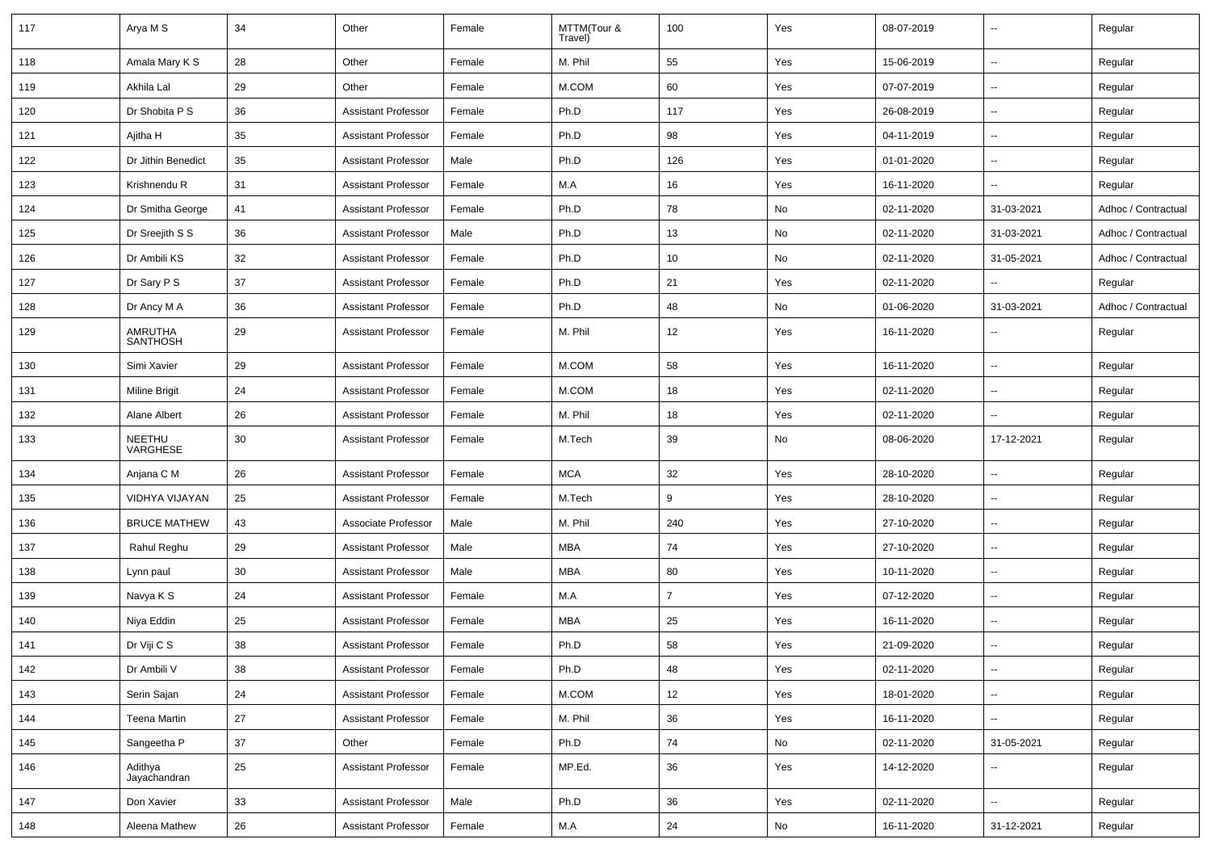| 117 | Arya M S                   | 34 | Other                      | Female | MTTM(Tour &<br>Travel) | 100            | Yes | 08-07-2019 | $\overline{a}$           | Regular             |
|-----|----------------------------|----|----------------------------|--------|------------------------|----------------|-----|------------|--------------------------|---------------------|
| 118 | Amala Mary K S             | 28 | Other                      | Female | M. Phil                | 55             | Yes | 15-06-2019 | u.                       | Regular             |
| 119 | Akhila Lal                 | 29 | Other                      | Female | M.COM                  | 60             | Yes | 07-07-2019 | --                       | Regular             |
| 120 | Dr Shobita P S             | 36 | <b>Assistant Professor</b> | Female | Ph.D                   | 117            | Yes | 26-08-2019 | $\overline{a}$           | Regular             |
| 121 | Ajitha H                   | 35 | <b>Assistant Professor</b> | Female | Ph.D                   | 98             | Yes | 04-11-2019 | --                       | Regular             |
| 122 | Dr Jithin Benedict         | 35 | <b>Assistant Professor</b> | Male   | Ph.D                   | 126            | Yes | 01-01-2020 | $\overline{a}$           | Regular             |
| 123 | Krishnendu R               | 31 | <b>Assistant Professor</b> | Female | M.A                    | 16             | Yes | 16-11-2020 | $\overline{a}$           | Regular             |
| 124 | Dr Smitha George           | 41 | <b>Assistant Professor</b> | Female | Ph.D                   | 78             | No  | 02-11-2020 | 31-03-2021               | Adhoc / Contractual |
| 125 | Dr Sreejith S S            | 36 | <b>Assistant Professor</b> | Male   | Ph.D                   | 13             | No  | 02-11-2020 | 31-03-2021               | Adhoc / Contractual |
| 126 | Dr Ambili KS               | 32 | <b>Assistant Professor</b> | Female | Ph.D                   | 10             | No  | 02-11-2020 | 31-05-2021               | Adhoc / Contractual |
| 127 | Dr Sary P S                | 37 | <b>Assistant Professor</b> | Female | Ph.D                   | 21             | Yes | 02-11-2020 |                          | Regular             |
| 128 | Dr Ancy M A                | 36 | <b>Assistant Professor</b> | Female | Ph.D                   | 48             | No  | 01-06-2020 | 31-03-2021               | Adhoc / Contractual |
| 129 | AMRUTHA<br><b>SANTHOSH</b> | 29 | <b>Assistant Professor</b> | Female | M. Phil                | 12             | Yes | 16-11-2020 | $\overline{\phantom{a}}$ | Regular             |
| 130 | Simi Xavier                | 29 | <b>Assistant Professor</b> | Female | M.COM                  | 58             | Yes | 16-11-2020 | ÷.                       | Regular             |
| 131 | Miline Brigit              | 24 | <b>Assistant Professor</b> | Female | M.COM                  | 18             | Yes | 02-11-2020 | $\overline{\phantom{a}}$ | Regular             |
| 132 | Alane Albert               | 26 | <b>Assistant Professor</b> | Female | M. Phil                | 18             | Yes | 02-11-2020 | $\overline{\phantom{a}}$ | Regular             |
| 133 | NEETHU<br>VARGHESE         | 30 | <b>Assistant Professor</b> | Female | M.Tech                 | 39             | No  | 08-06-2020 | 17-12-2021               | Regular             |
| 134 | Anjana C M                 | 26 | <b>Assistant Professor</b> | Female | <b>MCA</b>             | 32             | Yes | 28-10-2020 | --                       | Regular             |
| 135 | VIDHYA VIJAYAN             | 25 | <b>Assistant Professor</b> | Female | M.Tech                 | 9              | Yes | 28-10-2020 | --                       | Regular             |
| 136 | <b>BRUCE MATHEW</b>        | 43 | Associate Professor        | Male   | M. Phil                | 240            | Yes | 27-10-2020 | $\overline{\phantom{a}}$ | Regular             |
| 137 | Rahul Reghu                | 29 | <b>Assistant Professor</b> | Male   | MBA                    | 74             | Yes | 27-10-2020 | $\overline{\phantom{a}}$ | Regular             |
| 138 | Lynn paul                  | 30 | <b>Assistant Professor</b> | Male   | <b>MBA</b>             | 80             | Yes | 10-11-2020 | u.                       | Regular             |
| 139 | Navya K S                  | 24 | <b>Assistant Professor</b> | Female | M.A                    | $\overline{7}$ | Yes | 07-12-2020 | $\overline{\phantom{a}}$ | Regular             |
| 140 | Niya Eddin                 | 25 | <b>Assistant Professor</b> | Female | MBA                    | 25             | Yes | 16-11-2020 | --                       | Regular             |
| 141 | Dr Viji C S                | 38 | <b>Assistant Professor</b> | Female | Ph.D                   | 58             | Yes | 21-09-2020 |                          | Regular             |
| 142 | Dr Ambili V                | 38 | Assistant Professor        | Female | Ph.D                   | 48             | Yes | 02-11-2020 |                          | Regular             |
| 143 | Serin Sajan                | 24 | Assistant Professor        | Female | M.COM                  | 12             | Yes | 18-01-2020 | Ξ.                       | Regular             |
| 144 | <b>Teena Martin</b>        | 27 | <b>Assistant Professor</b> | Female | M. Phil                | 36             | Yes | 16-11-2020 | ω.                       | Regular             |
| 145 | Sangeetha P                | 37 | Other                      | Female | Ph.D                   | 74             | No  | 02-11-2020 | 31-05-2021               | Regular             |
| 146 | Adithya<br>Jayachandran    | 25 | <b>Assistant Professor</b> | Female | MP.Ed.                 | 36             | Yes | 14-12-2020 | Ξ.                       | Regular             |
| 147 | Don Xavier                 | 33 | <b>Assistant Professor</b> | Male   | Ph.D                   | 36             | Yes | 02-11-2020 | Ξ.                       | Regular             |
| 148 | Aleena Mathew              | 26 | <b>Assistant Professor</b> | Female | M.A                    | 24             | No  | 16-11-2020 | 31-12-2021               | Regular             |